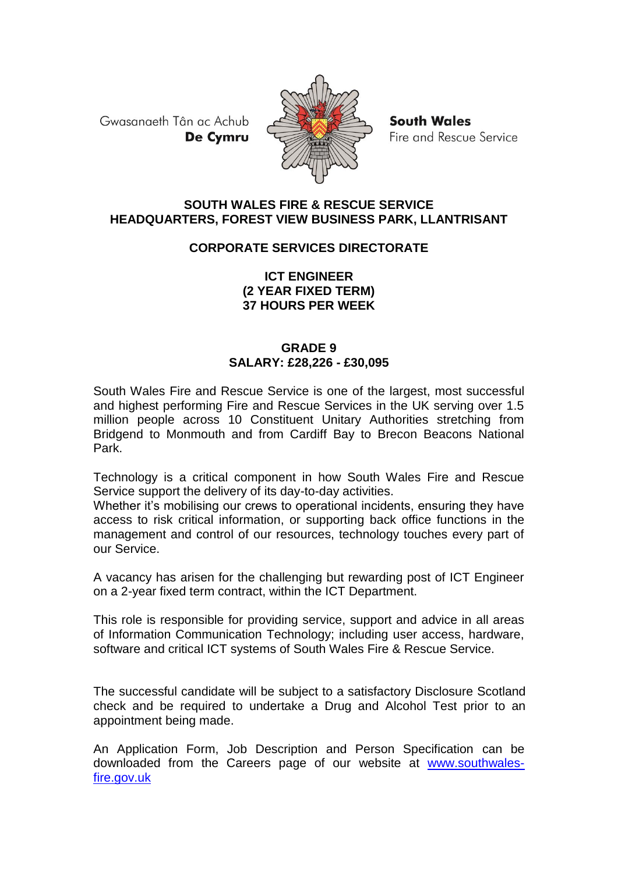Gwasanaeth Tân ac Achub De Cymru



**South Wales** Fire and Rescue Service

### **SOUTH WALES FIRE & RESCUE SERVICE HEADQUARTERS, FOREST VIEW BUSINESS PARK, LLANTRISANT**

# **CORPORATE SERVICES DIRECTORATE**

### **ICT ENGINEER (2 YEAR FIXED TERM) 37 HOURS PER WEEK**

## **GRADE 9 SALARY: £28,226 - £30,095**

South Wales Fire and Rescue Service is one of the largest, most successful and highest performing Fire and Rescue Services in the UK serving over 1.5 million people across 10 Constituent Unitary Authorities stretching from Bridgend to Monmouth and from Cardiff Bay to Brecon Beacons National Park.

Technology is a critical component in how South Wales Fire and Rescue Service support the delivery of its day-to-day activities.

Whether it's mobilising our crews to operational incidents, ensuring they have access to risk critical information, or supporting back office functions in the management and control of our resources, technology touches every part of our Service.

A vacancy has arisen for the challenging but rewarding post of ICT Engineer on a 2-year fixed term contract, within the ICT Department.

This role is responsible for providing service, support and advice in all areas of Information Communication Technology; including user access, hardware, software and critical ICT systems of South Wales Fire & Rescue Service.

The successful candidate will be subject to a satisfactory Disclosure Scotland check and be required to undertake a Drug and Alcohol Test prior to an appointment being made.

An Application Form, Job Description and Person Specification can be downloaded from the Careers page of our website at [www.southwales](http://www.southwales-fire.gov.uk/)[fire.gov.uk](http://www.southwales-fire.gov.uk/)